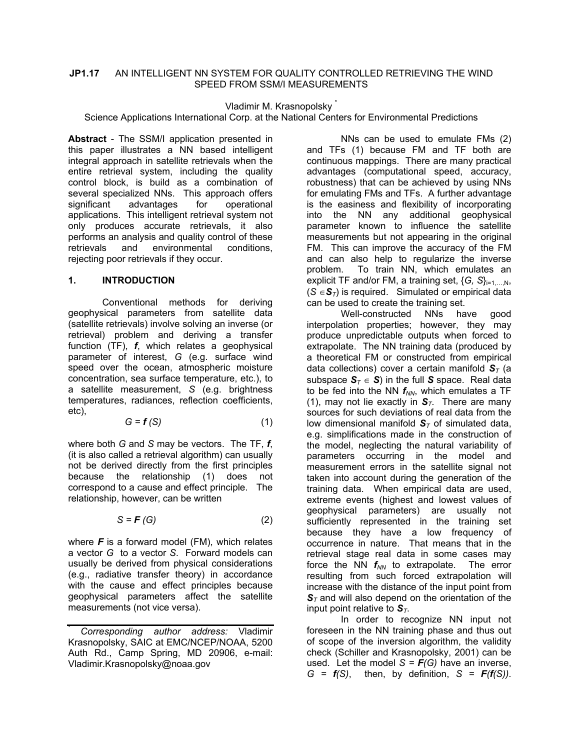# **JP1.17** AN INTELLIGENT NN SYSTEM FOR QUALITY CONTROLLED RETRIEVING THE WIND SPEED FROM SSM/I MEASUREMENTS

Vladimir M. Krasnopolsky \*

Science Applications International Corp. at the National Centers for Environmental Predictions

**Abstract** - The SSM/I application presented in this paper illustrates a NN based intelligent integral approach in satellite retrievals when the entire retrieval system, including the quality control block, is build as a combination of several specialized NNs. This approach offers<br>significant advantages for operational significant advantages for operational applications. This intelligent retrieval system not only produces accurate retrievals, it also performs an analysis and quality control of these retrievals and environmental conditions, rejecting poor retrievals if they occur.

## **1. INTRODUCTION**

 Conventional methods for deriving geophysical parameters from satellite data (satellite retrievals) involve solving an inverse (or retrieval) problem and deriving a transfer function (TF), *f*, which relates a geophysical parameter of interest, *G* (e.g. surface wind speed over the ocean, atmospheric moisture concentration, sea surface temperature, etc.), to a satellite measurement, *S* (e.g. brightness temperatures, radiances, reflection coefficients, etc),

$$
G = f(S) \tag{1}
$$

where both *G* and *S* may be vectors. The TF, *f*, (it is also called a retrieval algorithm) can usually not be derived directly from the first principles because the relationship (1) does not correspond to a cause and effect principle. The relationship, however, can be written

$$
S = \mathbf{F}(G) \tag{2}
$$

where *F* is a forward model (FM), which relates a vector *G* to a vector *S*. Forward models can usually be derived from physical considerations (e.g., radiative transfer theory) in accordance with the cause and effect principles because geophysical parameters affect the satellite measurements (not vice versa).

 NNs can be used to emulate FMs (2) and TFs (1) because FM and TF both are continuous mappings. There are many practical advantages (computational speed, accuracy, robustness) that can be achieved by using NNs for emulating FMs and TFs. A further advantage is the easiness and flexibility of incorporating into the NN any additional geophysical parameter known to influence the satellite measurements but not appearing in the original FM. This can improve the accuracy of the FM and can also help to regularize the inverse problem. To train NN, which emulates an explicit TF and/or FM, a training set, {*G, S*}<sub>i=1,...,N</sub>,  $(S \in S_T)$  is required. Simulated or empirical data can be used to create the training set.

 Well-constructed NNs have good interpolation properties; however, they may produce unpredictable outputs when forced to extrapolate. The NN training data (produced by a theoretical FM or constructed from empirical data collections) cover a certain manifold  $S_T$  (a subspace  $S_T \in S$ ) in the full S space. Real data to be fed into the NN  $f_{NN}$ , which emulates a TF (1), may not lie exactly in  $S_T$ . There are many sources for such deviations of real data from the low dimensional manifold  $S_T$  of simulated data, e.g. simplifications made in the construction of the model, neglecting the natural variability of parameters occurring in the model and measurement errors in the satellite signal not taken into account during the generation of the training data. When empirical data are used, extreme events (highest and lowest values of geophysical parameters) are usually not sufficiently represented in the training set because they have a low frequency of occurrence in nature. That means that in the retrieval stage real data in some cases may force the NN  $f_{NN}$  to extrapolate. The error resulting from such forced extrapolation will increase with the distance of the input point from  $S_T$  and will also depend on the orientation of the input point relative to  $S_T$ .

 In order to recognize NN input not foreseen in the NN training phase and thus out of scope of the inversion algorithm, the validity check (Schiller and Krasnopolsky, 2001) can be used. Let the model  $S = F(G)$  have an inverse,  $G = f(S)$ , then, by definition,  $S = F(f(S))$ .

<sup>\*</sup> *Corresponding author address:* Vladimir Krasnopolsky, SAIC at EMC/NCEP/NOAA, 5200 Auth Rd., Camp Spring, MD 20906, e-mail: Vladimir.Krasnopolsky@noaa.gov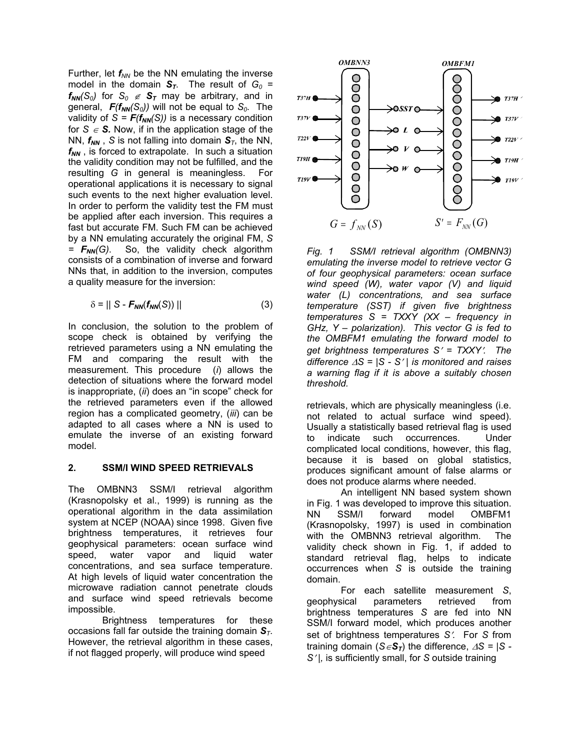Further, let  $f_{NN}$  be the NN emulating the inverse model in the domain  $S_T$ . The result of  $G_0$  =  $f_{NN}(S_0)$  for  $S_0 \notin S_T$  may be arbitrary, and in general,  $F(f_{NN}(S_0))$  will not be equal to  $S_0$ . The validity of  $S = F(f_{NN}(S))$  is a necessary condition for  $S \in S$ . Now, if in the application stage of the NN,  $f_{NN}$ , *S* is not falling into domain  $S_T$ , the NN,  $f_{NN}$ , is forced to extrapolate. In such a situation the validity condition may not be fulfilled, and the resulting *G* in general is meaningless. For operational applications it is necessary to signal such events to the next higher evaluation level. In order to perform the validity test the FM must be applied after each inversion. This requires a fast but accurate FM. Such FM can be achieved by a NN emulating accurately the original FM, *S = FNN(G)*. So, the validity check algorithm consists of a combination of inverse and forward NNs that, in addition to the inversion, computes a quality measure for the inversion:

$$
\delta = || S - F_{NN}(f_{NN}(S)) ||
$$
 (3)

In conclusion, the solution to the problem of scope check is obtained by verifying the retrieved parameters using a NN emulating the FM and comparing the result with the measurement. This procedure (*i*) allows the detection of situations where the forward model is inappropriate, (*ii*) does an "in scope" check for the retrieved parameters even if the allowed region has a complicated geometry, (*iii*) can be adapted to all cases where a NN is used to emulate the inverse of an existing forward model.

### **2. SSM/I WIND SPEED RETRIEVALS**

The OMBNN3 SSM/I retrieval algorithm (Krasnopolsky et al., 1999) is running as the operational algorithm in the data assimilation system at NCEP (NOAA) since 1998. Given five brightness temperatures, it retrieves four geophysical parameters: ocean surface wind speed, water vapor and liquid water concentrations, and sea surface temperature. At high levels of liquid water concentration the microwave radiation cannot penetrate clouds and surface wind speed retrievals become impossible.

Brightness temperatures for these occasions fall far outside the training domain *ST*. However, the retrieval algorithm in these cases, if not flagged properly, will produce wind speed



*Fig. 1 SSM/I retrieval algorithm (OMBNN3) emulating the inverse model to retrieve vector G of four geophysical parameters: ocean surface wind speed (W), water vapor (V) and liquid water (L) concentrations, and sea surface temperature (SST) if given five brightness temperatures S = TXXY (XX – frequency in GHz, Y – polarization). This vector G is fed to the OMBFM1 emulating the forward model to get brightness temperatures S*′ *= TXXY*′*. The difference* ∆*S = |S - S*′ *| is monitored and raises a warning flag if it is above a suitably chosen threshold.* 

retrievals, which are physically meaningless (i.e. not related to actual surface wind speed). Usually a statistically based retrieval flag is used to indicate such occurrences. Under complicated local conditions, however, this flag, because it is based on global statistics, produces significant amount of false alarms or does not produce alarms where needed.

An intelligent NN based system shown in Fig. 1 was developed to improve this situation. NN SSM/I forward model OMBFM1 (Krasnopolsky, 1997) is used in combination with the OMBNN3 retrieval algorithm. The validity check shown in Fig. 1, if added to standard retrieval flag, helps to indicate occurrences when *S* is outside the training domain.

For each satellite measurement *S*, geophysical parameters retrieved from brightness temperatures *S* are fed into NN SSM/I forward model, which produces another set of brightness temperatures *S*′. For *S* from training domain ( $S \in S_T$ ) the difference,  $\Delta S = |S - \rangle$ *S*′ *|,* is sufficiently small, for *S* outside training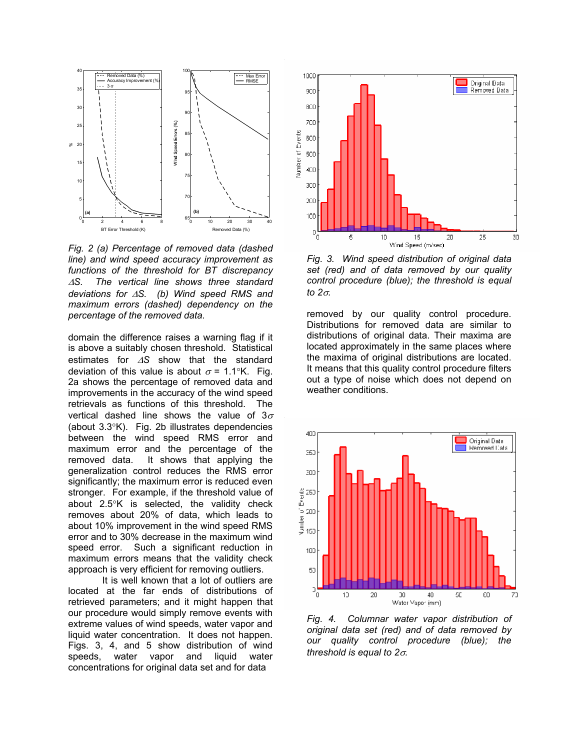

*Fig. 2 (a) Percentage of removed data (dashed line) and wind speed accuracy improvement as functions of the threshold for BT discrepancy*  <sup>∆</sup>*S. The vertical line shows three standard deviations for* ∆*S. (b) Wind speed RMS and maximum errors (dashed) dependency on the percentage of the removed data.* 

domain the difference raises a warning flag if it is above a suitably chosen threshold. Statistical estimates for ∆*S* show that the standard deviation of this value is about  $\sigma = 1.1\degree K$ . Fig. 2a shows the percentage of removed data and improvements in the accuracy of the wind speed retrievals as functions of this threshold. The vertical dashed line shows the value of  $3\sigma$ (about 3.3°K). Fig. 2b illustrates dependencies between the wind speed RMS error and maximum error and the percentage of the removed data. It shows that applying the generalization control reduces the RMS error significantly; the maximum error is reduced even stronger. For example, if the threshold value of about 2.5°K is selected, the validity check removes about 20% of data, which leads to about 10% improvement in the wind speed RMS error and to 30% decrease in the maximum wind speed error. Such a significant reduction in maximum errors means that the validity check approach is very efficient for removing outliers.

It is well known that a lot of outliers are located at the far ends of distributions of retrieved parameters; and it might happen that our procedure would simply remove events with extreme values of wind speeds, water vapor and liquid water concentration. It does not happen. Figs. 3, 4, and 5 show distribution of wind speeds, water vapor and liquid water concentrations for original data set and for data



*Fig. 3. Wind speed distribution of original data set (red) and of data removed by our quality control procedure (blue); the threshold is equal to 2*σ*.* 

removed by our quality control procedure. Distributions for removed data are similar to distributions of original data. Their maxima are located approximately in the same places where the maxima of original distributions are located. It means that this quality control procedure filters out a type of noise which does not depend on weather conditions.



*Fig. 4. Columnar water vapor distribution of original data set (red) and of data removed by our quality control procedure (blue); the threshold is equal to 2*σ*.*